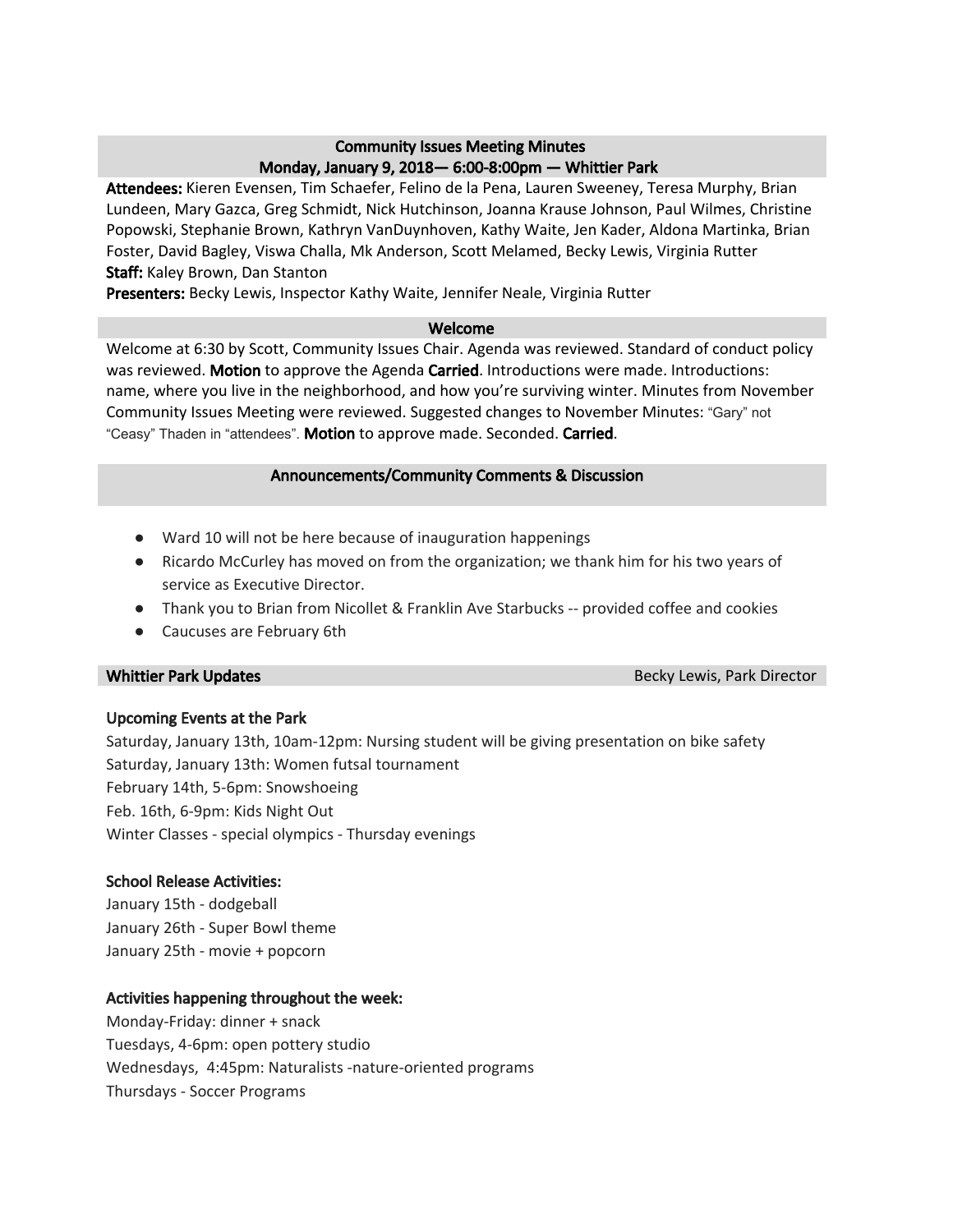## Community Issues Meeting Minutes Monday, January 9, 2018— 6:00-8:00pm — Whittier Park

Attendees: Kieren Evensen, Tim Schaefer, Felino de la Pena, Lauren Sweeney, Teresa Murphy, Brian Lundeen, Mary Gazca, Greg Schmidt, Nick Hutchinson, Joanna Krause Johnson, Paul Wilmes, Christine Popowski, Stephanie Brown, Kathryn VanDuynhoven, Kathy Waite, Jen Kader, Aldona Martinka, Brian Foster, David Bagley, Viswa Challa, Mk Anderson, Scott Melamed, Becky Lewis, Virginia Rutter Staff: Kaley Brown, Dan Stanton

Presenters: Becky Lewis, Inspector Kathy Waite, Jennifer Neale, Virginia Rutter

#### Welcome

Welcome at 6:30 by Scott, Community Issues Chair. Agenda was reviewed. Standard of conduct policy was reviewed. Motion to approve the Agenda Carried. Introductions were made. Introductions: name, where you live in the neighborhood, and how you're surviving winter. Minutes from November Community Issues Meeting were reviewed. Suggested changes to November Minutes: "Gary" not "Ceasy" Thaden in "attendees". Motion to approve made. Seconded. Carried.

## Announcements/Community Comments & Discussion

- Ward 10 will not be here because of inauguration happenings
- Ricardo McCurley has moved on from the organization; we thank him for his two years of service as Executive Director.
- Thank you to Brian from Nicollet & Franklin Ave Starbucks -- provided coffee and cookies
- Caucuses are February 6th

Whittier Park Updates **Becky Lewis, Park Director** Becky Lewis, Park Director

## Upcoming Events at the Park

Saturday, January 13th, 10am-12pm: Nursing student will be giving presentation on bike safety Saturday, January 13th: Women futsal tournament February 14th, 5-6pm: Snowshoeing Feb. 16th, 6-9pm: Kids Night Out Winter Classes - special olympics - Thursday evenings

## School Release Activities:

January 15th - dodgeball January 26th - Super Bowl theme January 25th - movie + popcorn

## Activities happening throughout the week:

Monday-Friday: dinner + snack Tuesdays, 4-6pm: open pottery studio Wednesdays, 4:45pm: Naturalists -nature-oriented programs Thursdays - Soccer Programs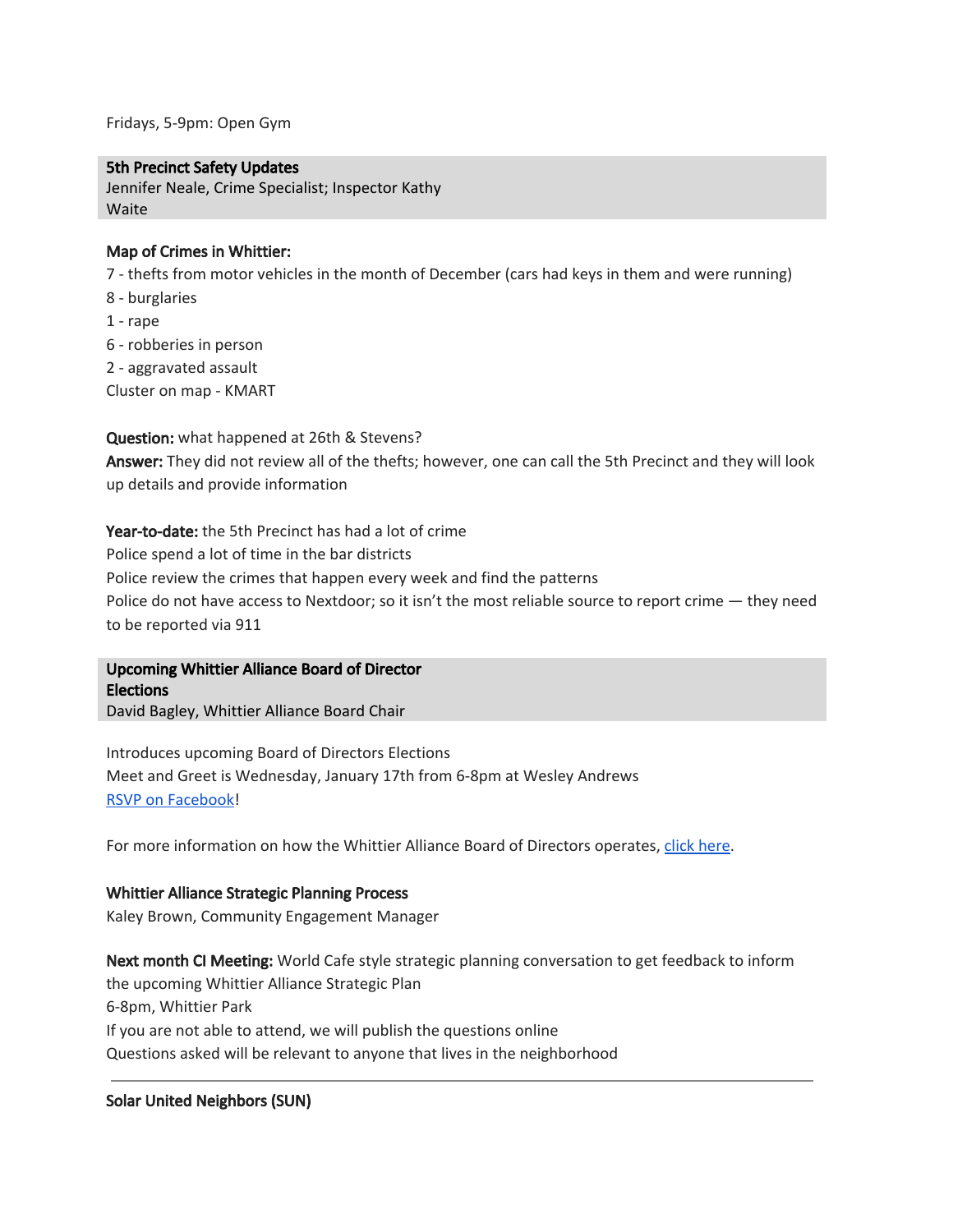Fridays, 5-9pm: Open Gym

#### 5th Precinct Safety Updates

Jennifer Neale, Crime Specialist; Inspector Kathy Waite

#### Map of Crimes in Whittier:

7 - thefts from motor vehicles in the month of December (cars had keys in them and were running)

- 8 burglaries
- 1 rape
- 6 robberies in person
- 2 aggravated assault
- Cluster on map KMART

Question: what happened at 26th & Stevens? Answer: They did not review all of the thefts; however, one can call the 5th Precinct and they will look up details and provide information

Year-to-date: the 5th Precinct has had a lot of crime Police spend a lot of time in the bar districts Police review the crimes that happen every week and find the patterns Police do not have access to Nextdoor; so it isn't the most reliable source to report crime — they need to be reported via 911

Upcoming Whittier Alliance Board of Director Elections David Bagley, Whittier Alliance Board Chair

Introduces upcoming Board of Directors Elections Meet and Greet is Wednesday, January 17th from 6-8pm at Wesley Andrews RSVP on [Facebook!](https://www.facebook.com/events/136665860359401/)

For more information on how the Whittier Alliance Board of Directors operates, click [here.](http://www.whittieralliance.org/board--staff.html)

#### Whittier Alliance Strategic Planning Process

Kaley Brown, Community Engagement Manager

Next month CI Meeting: World Cafe style strategic planning conversation to get feedback to inform the upcoming Whittier Alliance Strategic Plan 6-8pm, Whittier Park If you are not able to attend, we will publish the questions online Questions asked will be relevant to anyone that lives in the neighborhood

#### Solar United Neighbors (SUN)